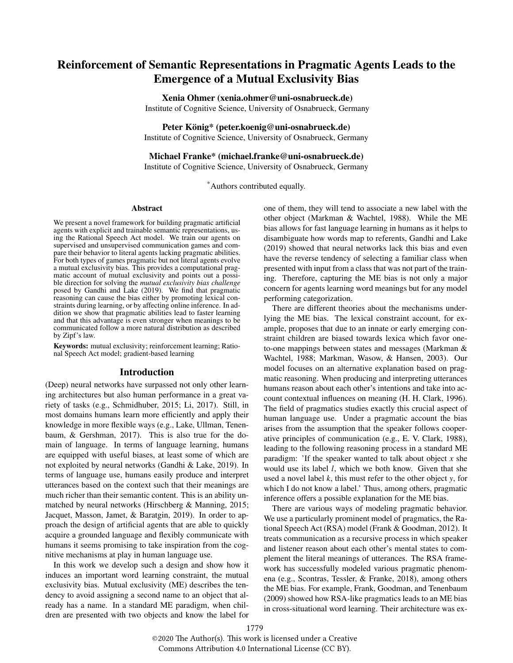# Reinforcement of Semantic Representations in Pragmatic Agents Leads to the Emergence of a Mutual Exclusivity Bias

## Xenia Ohmer (xenia.ohmer@uni-osnabrueck.de)

Institute of Cognitive Science, University of Osnabrueck, Germany

## Peter König\* (peter.koenig@uni-osnabrueck.de)

Institute of Cognitive Science, University of Osnabrueck, Germany

# Michael Franke\* (michael.franke@uni-osnabrueck.de)

Institute of Cognitive Science, University of Osnabrueck, Germany

\*Authors contributed equally.

#### Abstract

We present a novel framework for building pragmatic artificial agents with explicit and trainable semantic representations, using the Rational Speech Act model. We train our agents on supervised and unsupervised communication games and compare their behavior to literal agents lacking pragmatic abilities. For both types of games pragmatic but not literal agents evolve a mutual exclusivity bias. This provides a computational pragmatic account of mutual exclusivity and points out a possible direction for solving the *mutual exclusivity bias challenge* posed by Gandhi and Lake (2019). We find that pragmatic reasoning can cause the bias either by promoting lexical constraints during learning, or by affecting online inference. In addition we show that pragmatic abilities lead to faster learning and that this advantage is even stronger when meanings to be communicated follow a more natural distribution as described by Zipf's law.

Keywords: mutual exclusivity; reinforcement learning; Rational Speech Act model; gradient-based learning

#### Introduction

(Deep) neural networks have surpassed not only other learning architectures but also human performance in a great variety of tasks (e.g., Schmidhuber, 2015; Li, 2017). Still, in most domains humans learn more efficiently and apply their knowledge in more flexible ways (e.g., Lake, Ullman, Tenenbaum, & Gershman, 2017). This is also true for the domain of language. In terms of language learning, humans are equipped with useful biases, at least some of which are not exploited by neural networks (Gandhi & Lake, 2019). In terms of language use, humans easily produce and interpret utterances based on the context such that their meanings are much richer than their semantic content. This is an ability unmatched by neural networks (Hirschberg & Manning, 2015; Jacquet, Masson, Jamet, & Baratgin, 2019). In order to approach the design of artificial agents that are able to quickly acquire a grounded language and flexibly communicate with humans it seems promising to take inspiration from the cognitive mechanisms at play in human language use.

In this work we develop such a design and show how it induces an important word learning constraint, the mutual exclusivity bias. Mutual exclusivity (ME) describes the tendency to avoid assigning a second name to an object that already has a name. In a standard ME paradigm, when children are presented with two objects and know the label for one of them, they will tend to associate a new label with the other object (Markman & Wachtel, 1988). While the ME bias allows for fast language learning in humans as it helps to disambiguate how words map to referents, Gandhi and Lake (2019) showed that neural networks lack this bias and even have the reverse tendency of selecting a familiar class when presented with input from a class that was not part of the training. Therefore, capturing the ME bias is not only a major concern for agents learning word meanings but for any model performing categorization.

There are different theories about the mechanisms underlying the ME bias. The lexical constraint account, for example, proposes that due to an innate or early emerging constraint children are biased towards lexica which favor oneto-one mappings between states and messages (Markman & Wachtel, 1988; Markman, Wasow, & Hansen, 2003). Our model focuses on an alternative explanation based on pragmatic reasoning. When producing and interpreting utterances humans reason about each other's intentions and take into account contextual influences on meaning (H. H. Clark, 1996). The field of pragmatics studies exactly this crucial aspect of human language use. Under a pragmatic account the bias arises from the assumption that the speaker follows cooperative principles of communication (e.g., E. V. Clark, 1988), leading to the following reasoning process in a standard ME paradigm: 'If the speaker wanted to talk about object *x* she would use its label *l*, which we both know. Given that she used a novel label *k*, this must refer to the other object *y*, for which I do not know a label.' Thus, among others, pragmatic inference offers a possible explanation for the ME bias.

There are various ways of modeling pragmatic behavior. We use a particularly prominent model of pragmatics, the Rational Speech Act (RSA) model (Frank & Goodman, 2012). It treats communication as a recursive process in which speaker and listener reason about each other's mental states to complement the literal meanings of utterances. The RSA framework has successfully modeled various pragmatic phenomena (e.g., Scontras, Tessler, & Franke, 2018), among others the ME bias. For example, Frank, Goodman, and Tenenbaum (2009) showed how RSA-like pragmatics leads to an ME bias in cross-situational word learning. Their architecture was ex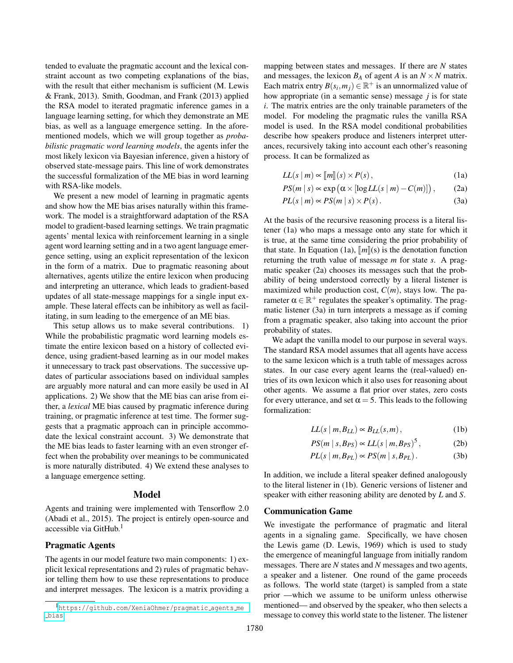tended to evaluate the pragmatic account and the lexical constraint account as two competing explanations of the bias, with the result that either mechanism is sufficient (M. Lewis & Frank, 2013). Smith, Goodman, and Frank (2013) applied the RSA model to iterated pragmatic inference games in a language learning setting, for which they demonstrate an ME bias, as well as a language emergence setting. In the aforementioned models, which we will group together as *probabilistic pragmatic word learning models*, the agents infer the most likely lexicon via Bayesian inference, given a history of observed state-message pairs. This line of work demonstrates the successful formalization of the ME bias in word learning with RSA-like models.

We present a new model of learning in pragmatic agents and show how the ME bias arises naturally within this framework. The model is a straightforward adaptation of the RSA model to gradient-based learning settings. We train pragmatic agents' mental lexica with reinforcement learning in a single agent word learning setting and in a two agent language emergence setting, using an explicit representation of the lexicon in the form of a matrix. Due to pragmatic reasoning about alternatives, agents utilize the entire lexicon when producing and interpreting an utterance, which leads to gradient-based updates of all state-message mappings for a single input example. These lateral effects can be inhibitory as well as facilitating, in sum leading to the emergence of an ME bias.

This setup allows us to make several contributions. 1) While the probabilistic pragmatic word learning models estimate the entire lexicon based on a history of collected evidence, using gradient-based learning as in our model makes it unnecessary to track past observations. The successive updates of particular associations based on individual samples are arguably more natural and can more easily be used in AI applications. 2) We show that the ME bias can arise from either, a *lexical* ME bias caused by pragmatic inference during training, or pragmatic inference at test time. The former suggests that a pragmatic approach can in principle accommodate the lexical constraint account. 3) We demonstrate that the ME bias leads to faster learning with an even stronger effect when the probability over meanings to be communicated is more naturally distributed. 4) We extend these analyses to a language emergence setting.

#### Model

Agents and training were implemented with Tensorflow 2.0 (Abadi et al., 2015). The project is entirely open-source and accessible via GitHub. $<sup>1</sup>$ </sup>

## Pragmatic Agents

The agents in our model feature two main components: 1) explicit lexical representations and 2) rules of pragmatic behavior telling them how to use these representations to produce and interpret messages. The lexicon is a matrix providing a mapping between states and messages. If there are *N* states and messages, the lexicon  $B_A$  of agent *A* is an  $N \times N$  matrix. Each matrix entry  $B(s_i, m_j) \in \mathbb{R}^+$  is an unnormalized value of how appropriate (in a semantic sense) message *j* is for state *i*. The matrix entries are the only trainable parameters of the model. For modeling the pragmatic rules the vanilla RSA model is used. In the RSA model conditional probabilities describe how speakers produce and listeners interpret utterances, recursively taking into account each other's reasoning process. It can be formalized as

$$
LL(s \mid m) \propto [m][s] \times P(s), \tag{1a}
$$

$$
PS(m \mid s) \propto \exp\left(\alpha \times [\log LL(s \mid m) - C(m)]\right), \tag{2a}
$$

$$
PL(s \mid m) \propto PS(m \mid s) \times P(s). \tag{3a}
$$

At the basis of the recursive reasoning process is a literal listener (1a) who maps a message onto any state for which it is true, at the same time considering the prior probability of that state. In Equation (1a),  $\llbracket m \rrbracket(s)$  is the denotation function returning the truth value of message *m* for state *s*. A pragmatic speaker (2a) chooses its messages such that the probability of being understood correctly by a literal listener is maximized while production cost,  $C(m)$ , stays low. The parameter  $\alpha \in \mathbb{R}^+$  regulates the speaker's optimality. The pragmatic listener (3a) in turn interprets a message as if coming from a pragmatic speaker, also taking into account the prior probability of states.

We adapt the vanilla model to our purpose in several ways. The standard RSA model assumes that all agents have access to the same lexicon which is a truth table of messages across states. In our case every agent learns the (real-valued) entries of its own lexicon which it also uses for reasoning about other agents. We assume a flat prior over states, zero costs for every utterance, and set  $\alpha = 5$ . This leads to the following formalization:

$$
LL(s \mid m, B_{LL}) \propto B_{LL}(s, m), \tag{1b}
$$

$$
PS(m \mid s, B_{PS}) \propto LL(s \mid m, B_{PS})^5, \tag{2b}
$$

$$
PL(s \mid m, B_{PL}) \propto PS(m \mid s, B_{PL}).
$$
 (3b)

In addition, we include a literal speaker defined analogously to the literal listener in (1b). Generic versions of listener and speaker with either reasoning ability are denoted by *L* and *S*.

# Communication Game

We investigate the performance of pragmatic and literal agents in a signaling game. Specifically, we have chosen the Lewis game (D. Lewis, 1969) which is used to study the emergence of meaningful language from initially random messages. There are *N* states and *N* messages and two agents, a speaker and a listener. One round of the game proceeds as follows. The world state (target) is sampled from a state prior —which we assume to be uniform unless otherwise mentioned— and observed by the speaker, who then selects a message to convey this world state to the listener. The listener

<sup>1</sup>[https://github.com/XeniaOhmer/pragmatic](https://github.com/XeniaOhmer/pragmatic_agents_me_bias) agents me [bias](https://github.com/XeniaOhmer/pragmatic_agents_me_bias)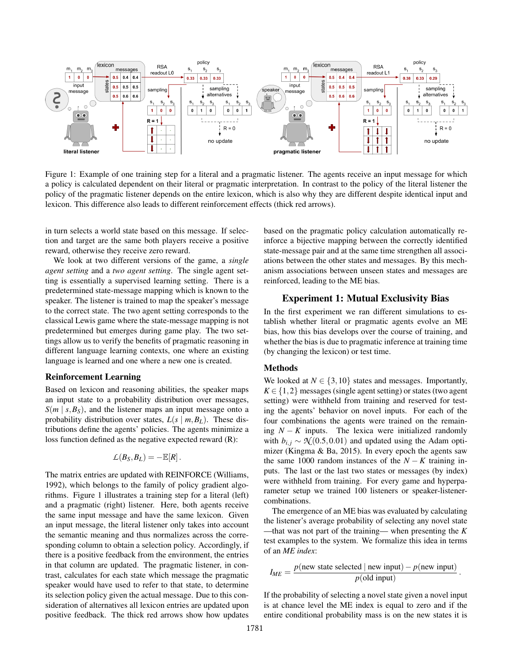

Figure 1: Example of one training step for a literal and a pragmatic listener. The agents receive an input message for which a policy is calculated dependent on their literal or pragmatic interpretation. In contrast to the policy of the literal listener the policy of the pragmatic listener depends on the entire lexicon, which is also why they are different despite identical input and lexicon. This difference also leads to different reinforcement effects (thick red arrows).

in turn selects a world state based on this message. If selection and target are the same both players receive a positive reward, otherwise they receive zero reward.

We look at two different versions of the game, a *single agent setting* and a *two agent setting*. The single agent setting is essentially a supervised learning setting. There is a predetermined state-message mapping which is known to the speaker. The listener is trained to map the speaker's message to the correct state. The two agent setting corresponds to the classical Lewis game where the state-message mapping is not predetermined but emerges during game play. The two settings allow us to verify the benefits of pragmatic reasoning in different language learning contexts, one where an existing language is learned and one where a new one is created.

#### Reinforcement Learning

Based on lexicon and reasoning abilities, the speaker maps an input state to a probability distribution over messages,  $S(m \mid s, B_S)$ , and the listener maps an input message onto a probability distribution over states,  $L(s | m, B_L)$ . These distributions define the agents' policies. The agents minimize a loss function defined as the negative expected reward (R):

$$
\mathcal{L}(B_S,B_L)=-\mathbb{E}[R].
$$

The matrix entries are updated with REINFORCE (Williams, 1992), which belongs to the family of policy gradient algorithms. Figure 1 illustrates a training step for a literal (left) and a pragmatic (right) listener. Here, both agents receive the same input message and have the same lexicon. Given an input message, the literal listener only takes into account the semantic meaning and thus normalizes across the corresponding column to obtain a selection policy. Accordingly, if there is a positive feedback from the environment, the entries in that column are updated. The pragmatic listener, in contrast, calculates for each state which message the pragmatic speaker would have used to refer to that state, to determine its selection policy given the actual message. Due to this consideration of alternatives all lexicon entries are updated upon positive feedback. The thick red arrows show how updates based on the pragmatic policy calculation automatically reinforce a bijective mapping between the correctly identified state-message pair and at the same time strengthen all associations between the other states and messages. By this mechanism associations between unseen states and messages are reinforced, leading to the ME bias.

#### Experiment 1: Mutual Exclusivity Bias

In the first experiment we ran different simulations to establish whether literal or pragmatic agents evolve an ME bias, how this bias develops over the course of training, and whether the bias is due to pragmatic inference at training time (by changing the lexicon) or test time.

#### Methods

We looked at  $N \in \{3, 10\}$  states and messages. Importantly,  $K \in \{1,2\}$  messages (single agent setting) or states (two agent setting) were withheld from training and reserved for testing the agents' behavior on novel inputs. For each of the four combinations the agents were trained on the remaining  $N - K$  inputs. The lexica were initialized randomly with  $b_{i,j} \sim \mathcal{N}(0.5, 0.01)$  and updated using the Adam optimizer (Kingma & Ba, 2015). In every epoch the agents saw the same 1000 random instances of the  $N - K$  training inputs. The last or the last two states or messages (by index) were withheld from training. For every game and hyperparameter setup we trained 100 listeners or speaker-listenercombinations.

The emergence of an ME bias was evaluated by calculating the listener's average probability of selecting any novel state —that was not part of the training— when presenting the *K* test examples to the system. We formalize this idea in terms of an *ME index*:

$$
I_{ME} = \frac{p(\text{new state selected} \mid \text{new input}) - p(\text{new input})}{p(\text{old input})}
$$

.

If the probability of selecting a novel state given a novel input is at chance level the ME index is equal to zero and if the entire conditional probability mass is on the new states it is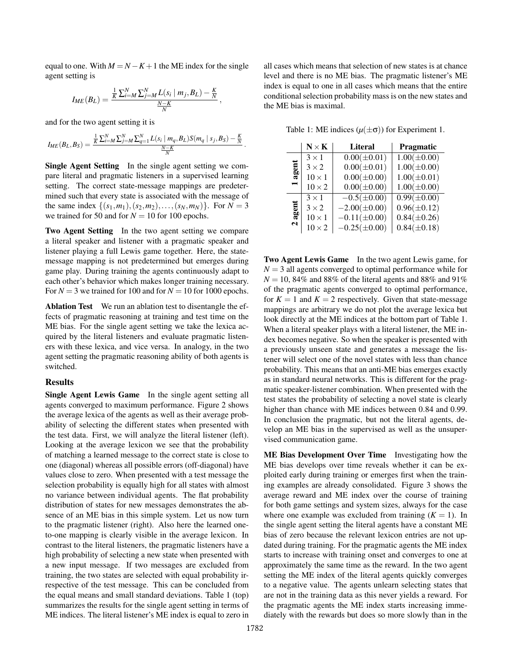equal to one. With  $M = N - K + 1$  the ME index for the single agent setting is

$$
I_{ME}(B_L) = \frac{\frac{1}{K}\sum_{i=M}^{N}\sum_{j=M}^{N}L(s_i \mid m_j, B_L) - \frac{K}{N}}{\frac{N-K}{N}},
$$

and for the two agent setting it is

$$
I_{ME}(B_L, B_S) = \frac{\frac{1}{K} \sum_{i=M}^{N} \sum_{j=M}^{N} \sum_{q=1}^{N} L(s_i \mid m_q, B_L) S(m_q \mid s_j, B_S) - \frac{K}{N}}{\frac{N-K}{N}}.
$$

Single Agent Setting In the single agent setting we compare literal and pragmatic listeners in a supervised learning setting. The correct state-message mappings are predetermined such that every state is associated with the message of the same index  $\{(s_1,m_1), (s_2,m_2), \ldots, (s_N,m_N)\}$ . For  $N = 3$ we trained for 50 and for  $N = 10$  for 100 epochs.

Two Agent Setting In the two agent setting we compare a literal speaker and listener with a pragmatic speaker and listener playing a full Lewis game together. Here, the statemessage mapping is not predetermined but emerges during game play. During training the agents continuously adapt to each other's behavior which makes longer training necessary. For  $N = 3$  we trained for 100 and for  $N = 10$  for 1000 epochs.

Ablation Test We run an ablation test to disentangle the effects of pragmatic reasoning at training and test time on the ME bias. For the single agent setting we take the lexica acquired by the literal listeners and evaluate pragmatic listeners with these lexica, and vice versa. In analogy, in the two agent setting the pragmatic reasoning ability of both agents is switched.

## Results

Single Agent Lewis Game In the single agent setting all agents converged to maximum performance. Figure 2 shows the average lexica of the agents as well as their average probability of selecting the different states when presented with the test data. First, we will analyze the literal listener (left). Looking at the average lexicon we see that the probability of matching a learned message to the correct state is close to one (diagonal) whereas all possible errors (off-diagonal) have values close to zero. When presented with a test message the selection probability is equally high for all states with almost no variance between individual agents. The flat probability distribution of states for new messages demonstrates the absence of an ME bias in this simple system. Let us now turn to the pragmatic listener (right). Also here the learned oneto-one mapping is clearly visible in the average lexicon. In contrast to the literal listeners, the pragmatic listeners have a high probability of selecting a new state when presented with a new input message. If two messages are excluded from training, the two states are selected with equal probability irrespective of the test message. This can be concluded from the equal means and small standard deviations. Table 1 (top) summarizes the results for the single agent setting in terms of ME indices. The literal listener's ME index is equal to zero in all cases which means that selection of new states is at chance level and there is no ME bias. The pragmatic listener's ME index is equal to one in all cases which means that the entire conditional selection probability mass is on the new states and the ME bias is maximal.

Table 1: ME indices  $(\mu(\pm \sigma))$  for Experiment 1.

|                              | $N \times K$  | <b>Literal</b>    | Pragmatic        |
|------------------------------|---------------|-------------------|------------------|
| ទី<br>ā                      | $3 \times 1$  | $0.00(\pm 0.01)$  | $1.00(\pm 0.00)$ |
|                              | $3 \times 2$  | $0.00(\pm 0.01)$  | $1.00(\pm 0.00)$ |
|                              | $10 \times 1$ | $0.00(\pm 0.00)$  | $1.00(\pm 0.01)$ |
|                              | $10 \times 2$ | $0.00(\pm 0.00)$  | $1.00(\pm 0.00)$ |
| Ē<br>ăg<br>$\mathbf{\Omega}$ | $3 \times 1$  | $-0.5(\pm 0.00)$  | $0.99(\pm 0.00)$ |
|                              | $3 \times 2$  | $-2.00(\pm 0.00)$ | $0.96(\pm 0.12)$ |
|                              | $10 \times 1$ | $-0.11(\pm 0.00)$ | $0.84(\pm 0.26)$ |
|                              | $10 \times 2$ | $-0.25(\pm 0.00)$ | $0.84(\pm 0.18)$ |

Two Agent Lewis Game In the two agent Lewis game, for  $N = 3$  all agents converged to optimal performance while for  $N = 10$ , 84% and 88% of the literal agents and 88% and 91% of the pragmatic agents converged to optimal performance, for  $K = 1$  and  $K = 2$  respectively. Given that state-message mappings are arbitrary we do not plot the average lexica but look directly at the ME indices at the bottom part of Table 1. When a literal speaker plays with a literal listener, the ME index becomes negative. So when the speaker is presented with a previously unseen state and generates a message the listener will select one of the novel states with less than chance probability. This means that an anti-ME bias emerges exactly as in standard neural networks. This is different for the pragmatic speaker-listener combination. When presented with the test states the probability of selecting a novel state is clearly higher than chance with ME indices between 0.84 and 0.99. In conclusion the pragmatic, but not the literal agents, develop an ME bias in the supervised as well as the unsupervised communication game.

ME Bias Development Over Time Investigating how the ME bias develops over time reveals whether it can be exploited early during training or emerges first when the training examples are already consolidated. Figure 3 shows the average reward and ME index over the course of training for both game settings and system sizes, always for the case where one example was excluded from training  $(K = 1)$ . In the single agent setting the literal agents have a constant ME bias of zero because the relevant lexicon entries are not updated during training. For the pragmatic agents the ME index starts to increase with training onset and converges to one at approximately the same time as the reward. In the two agent setting the ME index of the literal agents quickly converges to a negative value. The agents unlearn selecting states that are not in the training data as this never yields a reward. For the pragmatic agents the ME index starts increasing immediately with the rewards but does so more slowly than in the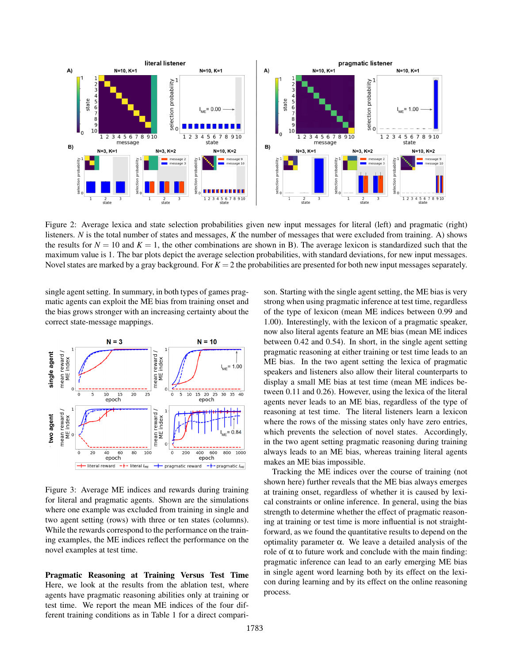

Figure 2: Average lexica and state selection probabilities given new input messages for literal (left) and pragmatic (right) listeners. *N* is the total number of states and messages, *K* the number of messages that were excluded from training. A) shows the results for  $N = 10$  and  $K = 1$ , the other combinations are shown in B). The average lexicon is standardized such that the maximum value is 1. The bar plots depict the average selection probabilities, with standard deviations, for new input messages. Novel states are marked by a gray background. For  $K = 2$  the probabilities are presented for both new input messages separately.

single agent setting. In summary, in both types of games pragmatic agents can exploit the ME bias from training onset and the bias grows stronger with an increasing certainty about the correct state-message mappings.



Figure 3: Average ME indices and rewards during training for literal and pragmatic agents. Shown are the simulations where one example was excluded from training in single and two agent setting (rows) with three or ten states (columns). While the rewards correspond to the performance on the training examples, the ME indices reflect the performance on the novel examples at test time.

Pragmatic Reasoning at Training Versus Test Time Here, we look at the results from the ablation test, where agents have pragmatic reasoning abilities only at training or test time. We report the mean ME indices of the four different training conditions as in Table 1 for a direct comparison. Starting with the single agent setting, the ME bias is very strong when using pragmatic inference at test time, regardless of the type of lexicon (mean ME indices between 0.99 and 1.00). Interestingly, with the lexicon of a pragmatic speaker, now also literal agents feature an ME bias (mean ME indices between 0.42 and 0.54). In short, in the single agent setting pragmatic reasoning at either training or test time leads to an ME bias. In the two agent setting the lexica of pragmatic speakers and listeners also allow their literal counterparts to display a small ME bias at test time (mean ME indices between 0.11 and 0.26). However, using the lexica of the literal agents never leads to an ME bias, regardless of the type of reasoning at test time. The literal listeners learn a lexicon where the rows of the missing states only have zero entries, which prevents the selection of novel states. Accordingly, in the two agent setting pragmatic reasoning during training always leads to an ME bias, whereas training literal agents makes an ME bias impossible.

Tracking the ME indices over the course of training (not shown here) further reveals that the ME bias always emerges at training onset, regardless of whether it is caused by lexical constraints or online inference. In general, using the bias strength to determine whether the effect of pragmatic reasoning at training or test time is more influential is not straightforward, as we found the quantitative results to depend on the optimality parameter α. We leave a detailed analysis of the role of  $\alpha$  to future work and conclude with the main finding: pragmatic inference can lead to an early emerging ME bias in single agent word learning both by its effect on the lexicon during learning and by its effect on the online reasoning process.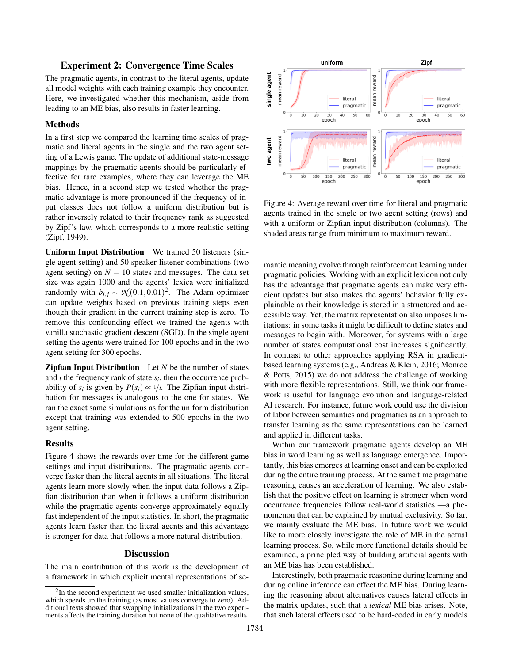# Experiment 2: Convergence Time Scales

The pragmatic agents, in contrast to the literal agents, update all model weights with each training example they encounter. Here, we investigated whether this mechanism, aside from leading to an ME bias, also results in faster learning.

# Methods

In a first step we compared the learning time scales of pragmatic and literal agents in the single and the two agent setting of a Lewis game. The update of additional state-message mappings by the pragmatic agents should be particularly effective for rare examples, where they can leverage the ME bias. Hence, in a second step we tested whether the pragmatic advantage is more pronounced if the frequency of input classes does not follow a uniform distribution but is rather inversely related to their frequency rank as suggested by Zipf's law, which corresponds to a more realistic setting (Zipf, 1949).

Uniform Input Distribution We trained 50 listeners (single agent setting) and 50 speaker-listener combinations (two agent setting) on  $N = 10$  states and messages. The data set size was again 1000 and the agents' lexica were initialized randomly with  $b_{i,j} \sim \mathcal{N}(0.1, 0.01)^2$ . The Adam optimizer can update weights based on previous training steps even though their gradient in the current training step is zero. To remove this confounding effect we trained the agents with vanilla stochastic gradient descent (SGD). In the single agent setting the agents were trained for 100 epochs and in the two agent setting for 300 epochs.

Zipfian Input Distribution Let *N* be the number of states and *i* the frequency rank of state *s<sup>i</sup>* , then the occurrence probability of  $s_i$  is given by  $P(s_i) \propto 1/i$ . The Zipfian input distribution for messages is analogous to the one for states. We ran the exact same simulations as for the uniform distribution except that training was extended to 500 epochs in the two agent setting.

#### **Results**

Figure 4 shows the rewards over time for the different game settings and input distributions. The pragmatic agents converge faster than the literal agents in all situations. The literal agents learn more slowly when the input data follows a Zipfian distribution than when it follows a uniform distribution while the pragmatic agents converge approximately equally fast independent of the input statistics. In short, the pragmatic agents learn faster than the literal agents and this advantage is stronger for data that follows a more natural distribution.

# **Discussion**

The main contribution of this work is the development of a framework in which explicit mental representations of se-



Figure 4: Average reward over time for literal and pragmatic agents trained in the single or two agent setting (rows) and with a uniform or Zipfian input distribution (columns). The shaded areas range from minimum to maximum reward.

mantic meaning evolve through reinforcement learning under pragmatic policies. Working with an explicit lexicon not only has the advantage that pragmatic agents can make very efficient updates but also makes the agents' behavior fully explainable as their knowledge is stored in a structured and accessible way. Yet, the matrix representation also imposes limitations: in some tasks it might be difficult to define states and messages to begin with. Moreover, for systems with a large number of states computational cost increases significantly. In contrast to other approaches applying RSA in gradientbased learning systems (e.g., Andreas & Klein, 2016; Monroe & Potts, 2015) we do not address the challenge of working with more flexible representations. Still, we think our framework is useful for language evolution and language-related AI research. For instance, future work could use the division of labor between semantics and pragmatics as an approach to transfer learning as the same representations can be learned and applied in different tasks.

Within our framework pragmatic agents develop an ME bias in word learning as well as language emergence. Importantly, this bias emerges at learning onset and can be exploited during the entire training process. At the same time pragmatic reasoning causes an acceleration of learning. We also establish that the positive effect on learning is stronger when word occurrence frequencies follow real-world statistics —a phenomenon that can be explained by mutual exclusivity. So far, we mainly evaluate the ME bias. In future work we would like to more closely investigate the role of ME in the actual learning process. So, while more functional details should be examined, a principled way of building artificial agents with an ME bias has been established.

Interestingly, both pragmatic reasoning during learning and during online inference can effect the ME bias. During learning the reasoning about alternatives causes lateral effects in the matrix updates, such that a *lexical* ME bias arises. Note, that such lateral effects used to be hard-coded in early models

<sup>&</sup>lt;sup>2</sup>In the second experiment we used smaller initialization values, which speeds up the training (as most values converge to zero). Additional tests showed that swapping initializations in the two experiments affects the training duration but none of the qualitative results.